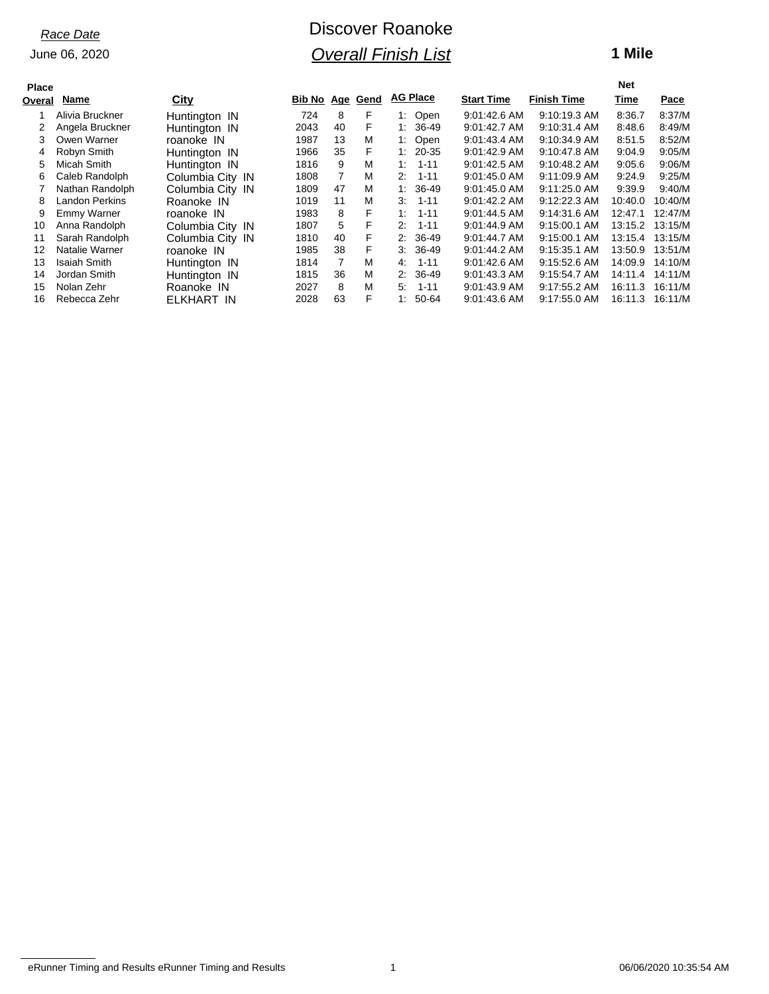June 06, 2020

# Discover Roanoke *Overall Finish List*

### **1 Mile**

| <b>Place</b> |                       |                  |                        |    |   |                 |          |                   |                    | <b>Net</b> |         |
|--------------|-----------------------|------------------|------------------------|----|---|-----------------|----------|-------------------|--------------------|------------|---------|
| Overal       | Name                  | City             | <b>Bib No Age Gend</b> |    |   | <b>AG Place</b> |          | <b>Start Time</b> | <b>Finish Time</b> | Time       | Pace    |
|              | Alivia Bruckner       | Huntington IN    | 724                    | 8  | F | 1: Open         |          | 9:01:42.6 AM      | 9:10:19.3 AM       | 8:36.7     | 8:37/M  |
|              | Angela Bruckner       | Huntington IN    | 2043                   | 40 | F | $1: 36-49$      |          | $9:01:42.7$ AM    | $9:10:31.4$ AM     | 8:48.6     | 8:49/M  |
| 3            | Owen Warner           | roanoke IN       | 1987                   | 13 | M | 1: Open         |          | 9:01:43.4 AM      | 9:10:34.9 AM       | 8:51.5     | 8:52/M  |
| 4            | Robyn Smith           | Huntington IN    | 1966                   | 35 | F | $1: 20-35$      |          | 9:01:42.9 AM      | 9:10:47.8 AM       | 9:04.9     | 9:05/M  |
| 5.           | Micah Smith           | Huntington IN    | 1816                   | 9  | M | 1:              | 1-11     | 9:01:42.5 AM      | $9:10:48.2$ AM     | 9:05.6     | 9:06/M  |
| 6.           | Caleb Randolph        | Columbia City IN | 1808                   | 7  | M | $2: 1-11$       |          | 9:01:45.0 AM      | $9:11:09.9$ AM     | 9:24.9     | 9:25/M  |
|              | Nathan Randolph       | Columbia City IN | 1809                   | 47 | M | $1: 36-49$      |          | $9:01:45.0$ AM    | $9:11:25.0$ AM     | 9:39.9     | 9:40/M  |
| 8            | <b>Landon Perkins</b> | Roanoke IN       | 1019                   | 11 | M | 3.              | $1 - 11$ | 9:01:42.2 AM      | 9:12:22.3 AM       | 10:40.0    | 10:40/M |
| 9            | Emmy Warner           | roanoke IN       | 1983                   | 8  | F | 1:              | $1 - 11$ | 9:01:44.5 AM      | $9:14:31.6$ AM     | 12:47.1    | 12:47/M |
| 10           | Anna Randolph         | Columbia City IN | 1807                   | 5  | F | 2:              | $1 - 11$ | 9:01:44.9 AM      | $9:15:00.1$ AM     | 13:15.2    | 13:15/M |
| 11           | Sarah Randolph        | Columbia City IN | 1810                   | 40 | F | $2: 36-49$      |          | $9.01:44.7$ AM    | $9:15:00.1$ AM     | 13:15.4    | 13:15/M |
| 12           | Natalie Warner        | roanoke IN       | 1985                   | 38 | F | $3:36-49$       |          | $9:01:44.2$ AM    | $9:15:35.1$ AM     | 13:50.9    | 13:51/M |
| 13           | Isaiah Smith          | Huntington IN    | 1814                   | 7  | M | 4:              | $1 - 11$ | 9:01:42.6 AM      | 9:15:52.6 AM       | 14:09.9    | 14:10/M |
| 14           | Jordan Smith          | Huntington IN    | 1815                   | 36 | M | $2: 36-49$      |          | 9:01:43.3 AM      | 9:15:54.7 AM       | 14:11.4    | 14:11/M |
| 15           | Nolan Zehr            | Roanoke IN       | 2027                   | 8  | M | 5:              | 1-11     | 9:01:43.9 AM      | 9:17:55.2 AM       | 16:11.3    | 16:11/M |
| 16           | Rebecca Zehr          | ELKHART IN       | 2028                   | 63 | F | 1:              | 50-64    | 9:01:43.6 AM      | 9:17:55.0 AM       | 16:11.3    | 16:11/M |

eRunner Timing and Results eRunner Timing and Results 1 06/06/2020 10:35:54 AM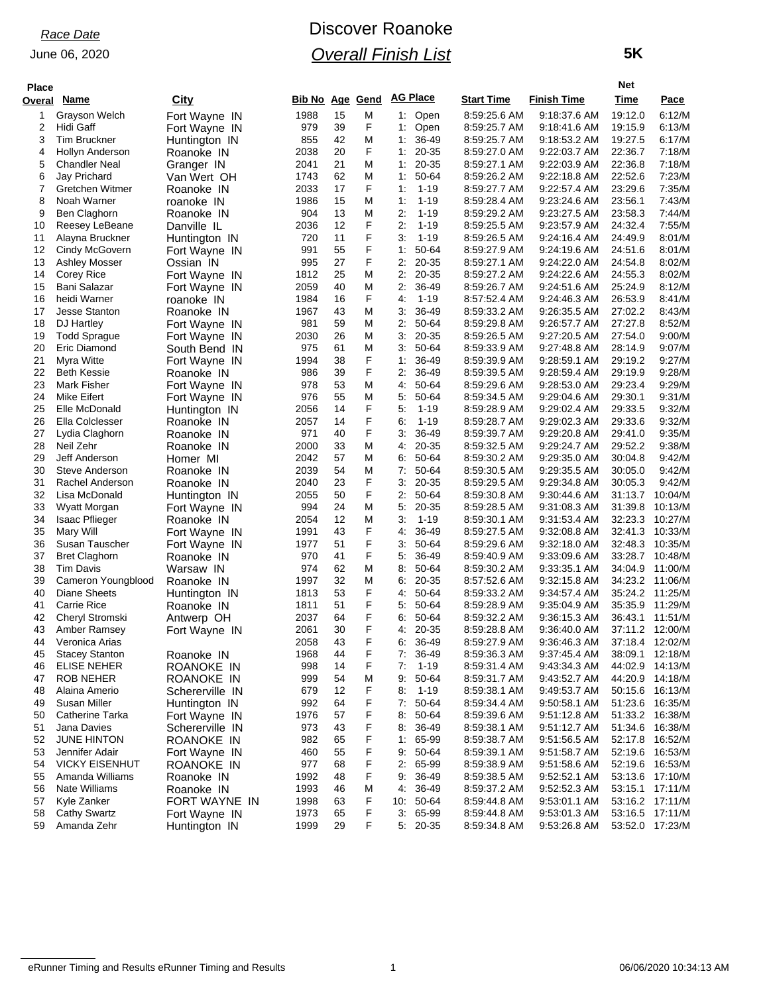June 06, 2020

# Discover Roanoke *Overall Finish List*

 **5K**

| <b>Place</b> |                                 |                             |                        |          |             |          |                 |                              | Net                          |                    |                  |
|--------------|---------------------------------|-----------------------------|------------------------|----------|-------------|----------|-----------------|------------------------------|------------------------------|--------------------|------------------|
| Overal       | <u>Name</u>                     | City                        | <b>Bib No Age Gend</b> |          |             |          | <b>AG Place</b> | <b>Start Time</b>            | <b>Finish Time</b>           | Time               | Pace             |
| 1            | Grayson Welch                   | Fort Wayne IN               | 1988                   | 15       | M           |          | 1: Open         | 8:59:25.6 AM                 | 9:18:37.6 AM                 | 19:12.0            | 6:12/M           |
| 2            | Hidi Gaff                       | Fort Wayne IN               | 979                    | 39       | F           |          | 1: Open         | 8:59:25.7 AM                 | 9:18:41.6 AM                 | 19:15.9            | 6:13/M           |
| 3            | <b>Tim Bruckner</b>             | Huntington IN               | 855                    | 42       | M           |          | $1:36-49$       | 8:59:25.7 AM                 | 9:18:53.2 AM                 | 19:27.5            | 6:17/M           |
| 4            | Hollyn Anderson                 | Roanoke IN                  | 2038                   | 20       | F           | 1:       | 20-35           | 8:59:27.0 AM                 | 9:22:03.7 AM                 | 22:36.7            | 7:18/M           |
| 5            | <b>Chandler Neal</b>            | Granger IN                  | 2041                   | 21       | M           | 1.       | 20-35           | 8:59:27.1 AM                 | 9:22:03.9 AM                 | 22:36.8            | 7:18/M           |
| 6            | Jay Prichard                    | Van Wert OH                 | 1743                   | 62       | M           | 1:       | 50-64           | 8:59:26.2 AM                 | 9:22:18.8 AM                 | 22:52.6            | 7:23/M           |
| 7            | Gretchen Witmer                 | Roanoke IN                  | 2033                   | 17       | F           | 1:       | $1 - 19$        | 8:59:27.7 AM                 | 9:22:57.4 AM                 | 23:29.6            | 7:35/M           |
| 8            | Noah Warner                     | roanoke IN                  | 1986                   | 15       | M           | 1:       | $1 - 19$        | 8:59:28.4 AM                 | 9:23:24.6 AM                 | 23:56.1            | 7:43/M           |
| 9            | Ben Claghorn                    | Roanoke IN                  | 904                    | 13       | M           | 2:       | $1 - 19$        | 8:59:29.2 AM                 | 9:23:27.5 AM                 | 23:58.3            | 7:44/M           |
| 10           | Reesey LeBeane                  | Danville IL                 | 2036                   | 12       | F           | 2:       | $1 - 19$        | 8:59:25.5 AM                 | 9:23:57.9 AM                 | 24:32.4            | 7:55/M           |
| 11           | Alayna Bruckner                 | Huntington IN               | 720                    | 11       | F           | 3.       | $1 - 19$        | 8:59:26.5 AM                 | 9:24:16.4 AM                 | 24:49.9            | 8:01/M           |
| 12           | Cindy McGovern                  | Fort Wayne IN               | 991                    | 55       | F           | 1:       | 50-64           | 8:59:27.9 AM                 | 9:24:19.6 AM                 | 24:51.6            | 8:01/M           |
| 13           | Ashley Mosser                   | Ossian IN                   | 995                    | 27       | F           | 2:       | 20-35           | 8:59:27.1 AM                 | 9:24:22.0 AM                 | 24:54.8            | 8:02/M           |
| 14           | Corey Rice                      | Fort Wayne IN               | 1812                   | 25       | M           | 2:       | 20-35           | 8:59:27.2 AM                 | 9:24:22.6 AM                 | 24:55.3            | 8:02/M           |
| 15           | Bani Salazar                    | Fort Wayne IN               | 2059                   | 40       | M           | 2:       | 36-49           | 8:59:26.7 AM                 | 9:24:51.6 AM                 | 25:24.9            | 8:12/M           |
| 16           | heidi Warner                    | roanoke IN                  | 1984                   | 16       | F           | 4:       | $1 - 19$        | 8:57:52.4 AM                 | 9:24:46.3 AM                 | 26:53.9            | 8:41/M           |
| 17           | <b>Jesse Stanton</b>            | Roanoke IN                  | 1967                   | 43       | M           | 3.       | 36-49           | 8:59:33.2 AM                 | 9:26:35.5 AM                 | 27:02.2            | 8:43/M           |
| 18           | DJ Hartley                      | Fort Wayne IN               | 981                    | 59       | M           | 2:       | 50-64           | 8:59:29.8 AM                 | 9:26:57.7 AM                 | 27:27.8            | 8:52/M           |
| 19           | <b>Todd Sprague</b>             | Fort Wayne IN               | 2030                   | 26       | M           | 3.       | 20-35           | 8:59:26.5 AM                 | 9:27:20.5 AM                 | 27:54.0            | 9:00/M           |
| 20           | Eric Diamond                    | South Bend IN               | 975                    | 61       | M           | 3.       | 50-64           | 8:59:33.9 AM                 | 9:27:48.8 AM                 | 28:14.9            | 9:07/M           |
| 21           | Myra Witte                      | Fort Wayne IN               | 1994                   | 38       | F           | 1:       | 36-49           | 8:59:39.9 AM                 | 9:28:59.1 AM                 | 29:19.2            | 9:27/M           |
| 22           | <b>Beth Kessie</b>              | Roanoke IN                  | 986                    | 39       | F           | 2:       | 36-49           | 8:59:39.5 AM                 | 9:28:59.4 AM                 | 29:19.9            | 9:28/M           |
| 23           | <b>Mark Fisher</b>              | Fort Wayne IN               | 978                    | 53       | M           | 4:       | 50-64           | 8:59:29.6 AM                 | 9:28:53.0 AM                 | 29:23.4            | 9:29/M           |
| 24           | Mike Eifert                     | Fort Wayne IN               | 976                    | 55       | M           | 5.       | 50-64           | 8:59:34.5 AM                 | 9:29:04.6 AM                 | 29:30.1            | 9:31/M           |
| 25           | Elle McDonald                   | Huntington IN               | 2056                   | 14       | F<br>F      | 5.       | $1 - 19$        | 8:59:28.9 AM                 | $9:29:02.4$ AM               | 29:33.5            | 9:32/M           |
| 26           | Ella Colclesser                 | Roanoke IN                  | 2057                   | 14       | F           | 6:       | $1 - 19$        | 8:59:28.7 AM                 | 9:29:02.3 AM                 | 29:33.6            | 9:32/M           |
| 27           | Lydia Claghorn                  | Roanoke IN                  | 971                    | 40       |             | 3.       | 36-49           | 8:59:39.7 AM                 | 9:29:20.8 AM                 | 29:41.0            | 9:35/M           |
| 28<br>29     | Neil Zehr                       | Roanoke IN                  | 2000                   | 33<br>57 | M<br>M      | 4:       | 20-35<br>50-64  | 8:59:32.5 AM                 | 9:29:24.7 AM                 | 29:52.2            | 9:38/M<br>9:42/M |
| 30           | Jeff Anderson<br>Steve Anderson | Homer MI                    | 2042<br>2039           | 54       | M           | 6.<br>7: | 50-64           | 8:59:30.2 AM                 | 9:29:35.0 AM                 | 30:04.8            |                  |
| 31           | Rachel Anderson                 | Roanoke IN                  | 2040                   | 23       | F           | 3.       | 20-35           | 8:59:30.5 AM<br>8:59:29.5 AM | 9:29:35.5 AM<br>9:29:34.8 AM | 30:05.0<br>30:05.3 | 9:42/M<br>9:42/M |
| 32           | Lisa McDonald                   | Roanoke IN                  | 2055                   | 50       | F           | 2:       | 50-64           | 8:59:30.8 AM                 | 9:30:44.6 AM                 | 31:13.7            | 10:04/M          |
| 33           | Wyatt Morgan                    | Huntington IN               | 994                    | 24       | M           | 5.       | 20-35           | 8:59:28.5 AM                 | 9:31:08.3 AM                 | 31:39.8            | 10:13/M          |
| 34           | <b>Isaac Pflieger</b>           | Fort Wayne IN<br>Roanoke IN | 2054                   | 12       | M           | 3.       | $1 - 19$        | 8:59:30.1 AM                 | 9:31:53.4 AM                 | 32:23.3            | 10:27/M          |
| 35           | Mary Will                       | Fort Wayne IN               | 1991                   | 43       | F           | 4:       | 36-49           | 8:59:27.5 AM                 | 9:32:08.8 AM                 | 32:41.3            | 10:33/M          |
| 36           | Susan Tauscher                  | Fort Wayne IN               | 1977                   | 51       | F           | 3.       | 50-64           | 8:59:29.6 AM                 | 9:32:18.0 AM                 | 32:48.3            | 10:35/M          |
| 37           | <b>Bret Claghorn</b>            | Roanoke IN                  | 970                    | 41       | F           | 5.       | 36-49           | 8:59:40.9 AM                 | 9:33:09.6 AM                 | 33:28.7            | 10:48/M          |
| 38           | <b>Tim Davis</b>                | Warsaw IN                   | 974                    | 62       | M           | 8.       | 50-64           | 8:59:30.2 AM                 | 9:33:35.1 AM                 | 34:04.9            | 11:00/M          |
| 39           | Cameron Youngblood              | Roanoke IN                  | 1997                   | 32       | M           | 6.       | 20-35           | 8:57:52.6 AM                 | 9:32:15.8 AM                 | 34:23.2            | 11:06/M          |
| 40           | <b>Diane Sheets</b>             | Huntington IN               | 1813                   | 53       | F           | 4.       | 50-64           | 8:59:33.2 AM                 | 9:34:57.4 AM                 | 35:24.2            | 11:25/M          |
| 41           | <b>Carrie Rice</b>              | Roanoke IN                  | 1811                   | 51       | F           | 5.       | 50-64           | 8:59:28.9 AM                 | 9:35:04.9 AM                 | 35:35.9            | 11:29/M          |
| 42           | Cheryl Stromski                 | Antwerp OH                  | 2037                   | 64       | F           | 6:       | 50-64           | 8:59:32.2 AM                 | 9:36:15.3 AM                 | 36:43.1            | 11:51/M          |
| 43           | Amber Ramsey                    | Fort Wayne IN               | 2061                   | 30       | F           |          | 4: 20-35        | 8:59:28.8 AM                 | 9:36:40.0 AM                 |                    | 37:11.2 12:00/M  |
| 44           | Veronica Arias                  |                             | 2058                   | 43       | $\mathsf F$ | 6:       | 36-49           | 8:59:27.9 AM                 | 9:36:46.3 AM                 | 37:18.4            | 12:02/M          |
| 45           | <b>Stacey Stanton</b>           | Roanoke IN                  | 1968                   | 44       | F           |          | 7: 36-49        | 8:59:36.3 AM                 | 9:37:45.4 AM                 | 38:09.1            | 12:18/M          |
| 46           | ELISE NEHER                     | ROANOKE IN                  | 998                    | 14       | F           | 7:       | $1 - 19$        | 8:59:31.4 AM                 | 9:43:34.3 AM                 | 44:02.9            | 14:13/M          |
| 47           | ROB NEHER                       | ROANOKE IN                  | 999                    | 54       | M           | 9.       | 50-64           | 8:59:31.7 AM                 | 9:43:52.7 AM                 |                    | 44:20.9 14:18/M  |
| 48           | Alaina Amerio                   | Schererville IN             | 679                    | 12       | F           | 8.       | $1 - 19$        | 8:59:38.1 AM                 | 9:49:53.7 AM                 |                    | 50:15.6 16:13/M  |
| 49           | Susan Miller                    | Huntington IN               | 992                    | 64       | F           | 7:       | 50-64           | 8:59:34.4 AM                 | 9:50:58.1 AM                 |                    | 51:23.6 16:35/M  |
| 50           | Catherine Tarka                 | Fort Wayne IN               | 1976                   | 57       | F           | 8.       | 50-64           | 8:59:39.6 AM                 | 9:51:12.8 AM                 |                    | 51:33.2 16:38/M  |
| 51           | Jana Davies                     | Schererville IN             | 973                    | 43       | F           |          | 8: 36-49        | 8:59:38.1 AM                 | 9:51:12.7 AM                 |                    | 51:34.6 16:38/M  |
| 52           | <b>JUNE HINTON</b>              | ROANOKE IN                  | 982                    | 65       | F           | 1:       | 65-99           | 8:59:38.7 AM                 | 9:51:56.5 AM                 | 52:17.8            | 16:52/M          |
| 53           | Jennifer Adair                  | Fort Wayne IN               | 460                    | 55       | F           | 9.       | 50-64           | 8:59:39.1 AM                 | 9:51:58.7 AM                 | 52:19.6            | 16:53/M          |
| 54           | <b>VICKY EISENHUT</b>           | ROANOKE IN                  | 977                    | 68       | F           | 2:       | 65-99           | 8:59:38.9 AM                 | 9:51:58.6 AM                 |                    | 52:19.6 16:53/M  |
| 55           | Amanda Williams                 | Roanoke IN                  | 1992                   | 48       | F           | 9.       | 36-49           | 8:59:38.5 AM                 | 9:52:52.1 AM                 |                    | 53:13.6 17:10/M  |
| 56           | Nate Williams                   | Roanoke IN                  | 1993                   | 46       | M           |          | 4: 36-49        | 8:59:37.2 AM                 | 9:52:52.3 AM                 |                    | 53:15.1 17:11/M  |
| 57           | Kyle Zanker                     | FORT WAYNE IN               | 1998                   | 63       | F           |          | 10: 50-64       | 8:59:44.8 AM                 | 9:53:01.1 AM                 |                    | 53:16.2 17:11/M  |
| 58           | <b>Cathy Swartz</b>             | Fort Wayne IN               | 1973                   | 65       | F           | 3.       | 65-99           | 8:59:44.8 AM                 | 9:53:01.3 AM                 | 53:16.5            | 17:11/M          |
| 59           | Amanda Zehr                     | Huntington IN               | 1999                   | 29       | F           |          | $5: 20-35$      | 8:59:34.8 AM                 | 9:53:26.8 AM                 |                    | 53:52.0 17:23/M  |
|              |                                 |                             |                        |          |             |          |                 |                              |                              |                    |                  |

eRunner Timing and Results eRunner Timing and Results 1 06/06/2020 10:34:13 AM